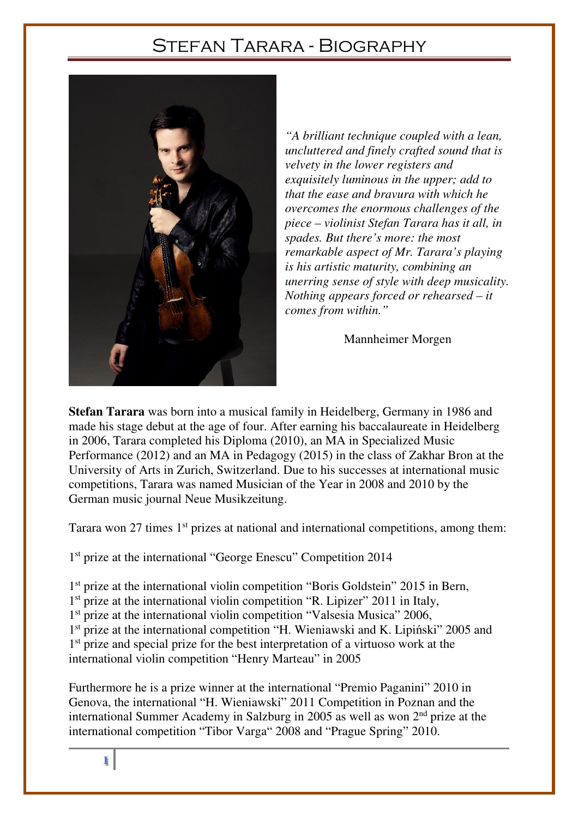## Stefan Tarara - Biography



*"A brilliant technique coupled with a lean, uncluttered and finely crafted sound that is velvety in the lower registers and exquisitely luminous in the upper; add to that the ease and bravura with which he overcomes the enormous challenges of the piece – violinist Stefan Tarara has it all, in spades. But there's more: the most remarkable aspect of Mr. Tarara's playing is his artistic maturity, combining an unerring sense of style with deep musicality. Nothing appears forced or rehearsed – it comes from within."* 

## Mannheimer Morgen

**Stefan Tarara** was born into a musical family in Heidelberg, Germany in 1986 and made his stage debut at the age of four. After earning his baccalaureate in Heidelberg in 2006, Tarara completed his Diploma (2010), an MA in Specialized Music Performance (2012) and an MA in Pedagogy (2015) in the class of Zakhar Bron at the University of Arts in Zurich, Switzerland. Due to his successes at international music competitions, Tarara was named Musician of the Year in 2008 and 2010 by the German music journal Neue Musikzeitung.

Tarara won 27 times 1<sup>st</sup> prizes at national and international competitions, among them:

1 st prize at the international "George Enescu" Competition 2014

1<sup>st</sup> prize at the international violin competition "Boris Goldstein" 2015 in Bern,

- 1<sup>st</sup> prize at the international violin competition "R. Lipizer" 2011 in Italy,
- 1<sup>st</sup> prize at the international violin competition "Valsesia Musica" 2006,
- 1<sup>st</sup> prize at the international competition "H. Wieniawski and K. Lipiński" 2005 and

1<sup>st</sup> prize and special prize for the best interpretation of a virtuoso work at the international violin competition "Henry Marteau" in 2005

Furthermore he is a prize winner at the international "Premio Paganini" 2010 in Genova, the international "H. Wieniawski" 2011 Competition in Poznan and the international Summer Academy in Salzburg in 2005 as well as won 2nd prize at the international competition "Tibor Varga" 2008 and "Prague Spring" 2010.